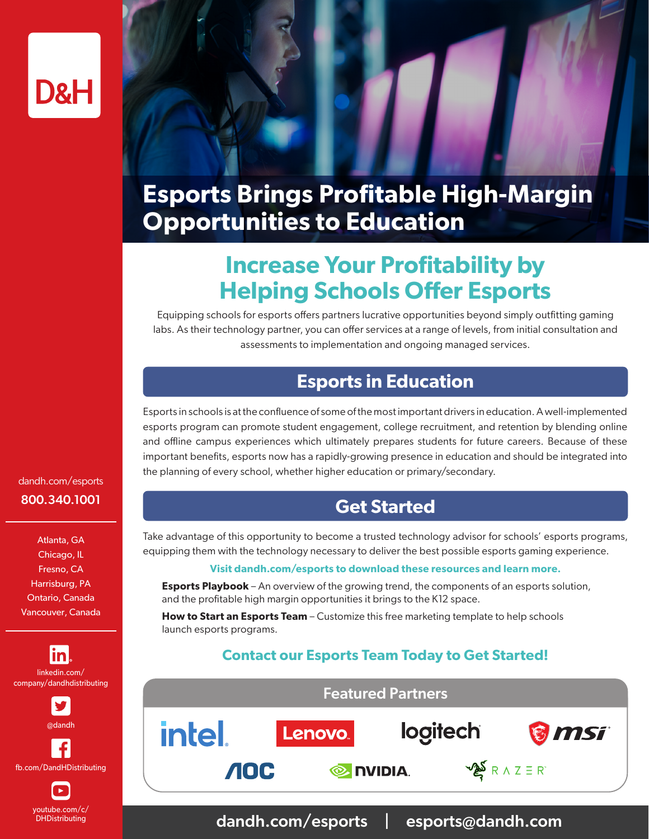

## **Esports Brings Profitable High-Margin Opportunities to Education**

### **Increase Your Profitability by Helping Schools Offer Esports**

Equipping schools for esports offers partners lucrative opportunities beyond simply outfitting gaming labs. As their technology partner, you can offer services at a range of levels, from initial consultation and assessments to implementation and ongoing managed services.

### **Esports in Education**

Esports in schools is at the confluence of some of the most important drivers in education. A well-implemented esports program can promote student engagement, college recruitment, and retention by blending online and offline campus experiences which ultimately prepares students for future careers. Because of these important benefits, esports now has a rapidly-growing presence in education and should be integrated into the planning of every school, whether higher education or primary/secondary.

#### **Get Started**

Take advantage of this opportunity to become a trusted technology advisor for schools' esports programs, equipping them with the technology necessary to deliver the best possible esports gaming experience.

#### **Visit dandh.com/esports to download these resources and learn more.**

**Esports Playbook** – An overview of the growing trend, the components of an esports solution, and the profitable high margin opportunities it brings to the K12 space.

**How to Start an Esports Team** – Customize this free marketing template to help schools launch esports programs.

#### **Contact our Esports Team Today to Get Started!**



dandh.com/esports | esports@dandh.com

dandh.com/esports 800.340.1001

Atlanta, GA Chicago, IL Fresno, CA Harrisburg, PA Ontario, Canada Vancouver, Canada



youtube.com/c/ DHDistributing